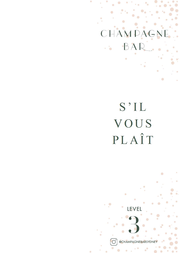### MPAG CT BAR l,

 $\bullet$ 

# S'IL VOUS PLAÎT



 $\bullet$ 

 $\bullet$ 

 $\overline{C}$ 

@CHAMPAGNEBARSYDNE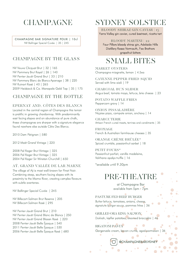## **CHAMPAGNE**

CHAMPAGNE BAR SIGNATURE POUR | 10cl NV Bollinger Special Cuvée | 35 | 245

### CHAMPAGNE BY THE GLASS

NV Veuve Clicquot Brut | 32 | 165 NV Pommery Brut Royal | 26 | 140 NV Perrier-Jouët Grand Brut | 33 | 210 NV Pommery Blanc de Blancs Apanage | 38 | 220 NV Ruinart Rosé | 40 | 265 2009 Heidsieck & Co. Monopole Gold Top | 35 | 175

### CHAMPAGNE BY THE BOTTLE

### EPERNAY AND, CÔTES DES BLANCS

Located in the central region of Champagne this terroir is prolific in growing chardonnay. With predominantly east facing slopes and an abundance of pure chalk, these champagnes are sharper with a signature elegance found nowhere else outside Côte Des Blancs.

2010 Dom Pérignon | 580

2012 Moët Grand Vintage | 220

2008 Pol Roger Brut Vintage | 325 2006 Pol Roger Brut Vintage | 325 2004 Pol Roger Sir Winston Churchill | 650

AŸ, GRAND VALLÉE DE LAR MARNE

The village of Aÿ is most well-known for Pinot Noir. Combining steep, southern-facing slopes with its proximity to the Marne River, creating complex flavours with subtle overtones.

NV Bollinger Special Cuvée | 245

NV Billecart-Salmon Brut Reserve | 205 NV Billecart-Salmon Rosé | 295

NV Perrier-Jouët Grand Brut | 210 NV Perrier-Jouët Grand Blanc de Blancs | 250 NV Perrier-Jouët Grand Blason Rosé | 220 2008 Perrier-Jouët Belle Époque | 540 2011 Perrier-Jouët Belle Époque | 530 2006 Perrier-Jouët Belle Époque Rosé | 680

### SYDNEY SOLSTICE

BLOODY SHIRAZ GIN CAVIAR | 15 Yarra Valley gin caviar, cured beetroot, ricotta tart

BLOODY MARTINI | 22 Four Pillars bloody shiraz gin, Adelaide Hills Distillery Rosso Vermouth, Fee Brothers grapefruit bitters

### SMALL BITES

MARKET OYSTERS Champagne miognette, lemon | 4.5ea

CAYENNE PEPPER FRIED SQUID Served with lime aioli | 19

CHARCOAL BUN SLIDER Angus beef, tomato mayo, lettuce, brie cheese | 23

POTATO WAFFLE FRIES Peppercorn gravy | 14

ONION PISSALADIÈRE Niçoise pizza, compote onion, anchovy | 14

CHARCUTERIE Artisan French cured meats, terrines and condiments | 35

FROMAGE French & Australian farmhouse cheeses | 35

ORANGE CRÈME BRÛLÉE\* Spiced crumble, passionfruit sorbet | 18

PETIT FOURS\* Passionfruit parfait, vanilla madeleine, Valrhona opalys truffle | 16

\*available until 9.30pm

### PRE-THEATRE

at Champagne Bar available from 5pm - 7pm

#### PASTURE FED BEEF BURGER

Butter lettuce, tomatoes, onions, cheese, signature burger sauce, pommes frites | 36

### GRILLED ORA KING SALMON

Dukkah, kipfler potatoes, steamed broccolini | 46

RIGATONI PASTA

Gorgonzola cream, bacon crumb, aged parmesan | 36

@CHAMPAGNEBARSYDNEY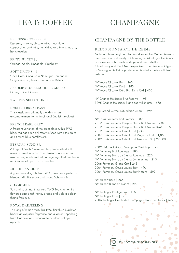# TEA & COFFEE CHAMPAGNE

#### ESPRESSO COFFEE | 6

Espresso, ristretto, piccolo latte, macchiato, cappuccino, café latte, flat white, long black, mocha, hot chocolate

FRUIT JUICES | 7 Orange, Apple, Pineapple, Cranberry

SOFT DRINKS | 6 Coca Cola, Coca Cola No Sugar, Lemonade, Ginger Ale, Lift, Tonic, Lemon Lime Bitters

SEEDLIP NON-ALCOHOLIC GIN | 12 Grove, Spice, Garden

TWG TEA SELECTION | 6

ENGLISH BREAKFAST This classic was originally blended as an accompaniment to the traditional English breakfast.

### FRENCH EARL GREY

A fragrant variation of the great classic, this TWG black tea has been delicately infused with citrus fruits and French blue cornflowers.

#### ETERNAL SUMMER

A fragrant South African red tea, embellished with notes of sweet summer rose blossoms accented with raw berries, which end with a lingering aftertaste that is reminiscent of ripe Tuscan peaches.

#### MOROCCAN MINT

A great favourite, this fine TWG green tea is perfectly blended with the suave and strong Sahara mint.

### CHAMOMILE

Soft and soothing, these rare TWG Tea chamomile flowers boast a rich honey aroma and yield a golden, theine-free cup.

### ROYAL DARJEELING

The king of Indian teas, this TWG first flush black tea boasts an exquisite fragrance and a vibrant, sparkling taste that develops remarkable overtones of ripe apricots.

### CHAMPAGNE BY THE BOTTLE

### REIMS MONTAGNE DE REIMS

As the northern neighbour to Grand Vallée De Marne, Reims is the champion of diversity in Champagne. Montagne De Reims is known for its horse-shoe shape and lends itself to Chardonnay and Pinot Noir respectively. The diverse soil types in Montagne De Reims produce full bodied varieties with fruit textures.

NV Veuve Clicquot Brut | 165 NV Veuve Clicquot Rosé | 185 NV Veuve Clicquot Extra Brut Extra Old | 400

NV Charles Heidsieck Brut Reserve | 195 1995 Charles Heidsieck Blanc des Millénaires | 670

Krug Grand Cuvée 166 Edition 375ml | 399

NV Louis Roederer Brut Premier | 189 Louis Roederer Philippe Starck Brut Nature | 240 Louis Roederer Philippe Starck Brut Nature Rosé | 315 Louis Roederer Cristal Brut | 745 Louis Roederer Cristal Brut Magnum 1.5L | 1,850 Louis Roederer Cristal Brut Jeroboam 3L | 22,000

2009 Heidsieck & Co. Monopole Gold Top | 175 NV Pommery Brut Apanage | 180 NV Pommery Blanc de Blancs Apanage | 220 NV Pommery Blanc de Blancs Summertime | 215 2006 Pommery Grand Cru | 245 2004 Pommery Cuvée Louise Brut | 490 2004 Pommery Cuvée Louise Brut Nature | 599

NV Ruinart Rosé | 265 NV Ruinart Blanc de Blancs | 290

NV Taittinger Prestige Brut | 165 NV Taittinger Rosé | 170 2006 Taittinger Comte de Champagne Blanc de Blancs | 699

ó

 $\bullet$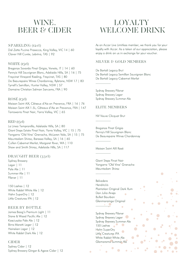### WINE, **BEER & CIDER**

### SPARKLING (12cl)

Dal Zotto Pucino Prosecco, King Valley, VIC 14 | 60 Clover Hill Cuvée, Lebrina, TAS | 92

### WHITE (15cl)

Breganze Savardo Pinot Grigio, Veneto, IT | 14 | 60 Penny's Hill Sauvignon Blanc, Adelaide Hills, SA | 16 | 75 Freycinet Vineyard Riesling, Freycinet, TAS | 80 De Beaurepaire Wines Chardonnay, Rylstone, NSW 17 | 83 Tyrrell's Semillon, Hunter Valley, NSW | 57 Domaine Christian Salmon Sancerre, FRA | 90

### ROSÉ (15cl)

Maison Saint AIX, Côteaux d'Aix en Provence, FRA | 16 | 76 Maison Saint AIX 1.5L, Côteaux d'Aix en Provence, FRA | 147 Tarrawarra Pinot Noir, Yarra Valley, VIC | 65

### RED (15cl)

La Linea Tempranillo, Adelaide Hills, SA | 80 Giant Steps Estate Pinot Noir, Yarra Valley, VIC | 15 | 75 Yangarra 'Old Vine' Grenache, McLaren Vale, SA | 15 | 75 Mountadam Shiraz, Barossa Valley, SA | 16 | 65 Cullen Cabernet Merlot, Margaret River, WA | 110 Shaw and Smith Shiraz, Adelaide Hills, SA | 117

### DRAUGHT BEER (33cl)

Sydney Brewery Lager | 11 Pale Ale | 11 Summer Ale | 11 Pilsner | 11

150 Lashes | 12 White Rabbit White Ale | 12 Hahn SuperDry | 12 Little Creatures IPA | 12

### BEER BY BOTTLE

James Boag's Premium Light | 11 Stone & Wood Pacific Ale | 12 Kosciuszko Pale Ale | 12 Birra Moretti Lager | 12 Heineken Lager | 12 White Rabbit Dark Ale | 12

### CIDER

Sydney Cider | 12 Sydney Brewery Ginger & Agave Cider | 12

### LOYALTY WELCOME DRINK

As an Accor Live Limitless member, we thank you for your loyalty with Accor. As a token of our appreciation, please enjoy a drink on us in exchange for your voucher.

### SILVER & GOLD MEMBERS

De Bortoli Legacy Brut De Bortoli Legacy Semillon Sauvignon Blanc De Bortoli Legacy Cabernet Merlot

Sydney Brewery Pilsner Sydney Brewery Lager Sydney Brewery Summer Ale

 $\overline{\phantom{a}}$ 

 $\overline{\phantom{a}}$ 

 $\overline{\phantom{a}}$ 

 $\overline{\phantom{a}}$ 

 $\overline{\phantom{a}}$ 

### ELITE MEMBERS

NV Veuve Clicquot Brut

Breganze Pinot Grigio Penny's Hill Sauvignon Blanc De Beaurepaire Wines Chardonnay

Maison Saint AIX Rosé

Giant Steps Pinot Noir Yangarra 'Old Vine' Grenache Mountadam Shiraz

Belvedere Hendrick's Plantation Original Dark Rum Don Julio Anejo  $\ddot{\phantom{a}}$ Bulleit Bourbon Glenmorainge Original  $\bullet$ 

Sydney Brewery Pilsner Sydney Brewery Lager Sydney Brewery Summer Ale 150 Lashes Hahn SuperDry  $\bullet$ Little Creatures IPA White Rabbit White Ale Glamarama Summer Ale

 $\ddot{\phantom{0}}$ 

ö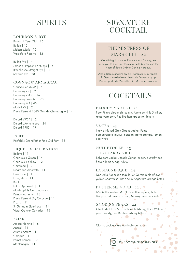### SPIRITS

### BOURBON & RYE

Bakers 7 Year Old | 16 Bulleit | 12 Makers Mark | 12 Woodford Reserve | 12

Bulleit Rye | 14 James E. Pepper 1776 Rye | 16 Rittenhouse Straight Rye | 14 Sazerac Rye | 20

### COGNAC & ARMAGNAC

Courvoisier VSOP | 16 Hennessy VS | 12 Hennessy VSOP | 16 Hennessy Paradis | 170 Hennessy XO | 45 Martell VS | 12 Pierre Ferrand 1840 Grande Champagne | 14

Delord VSOP | 12 Delord L'Authentique | 24 Delord 1985 | 17

PORT Penfold's Grandfather Fine Old Port | 15

### LIQUEURS & LIBATION

Baileys | 11 Chartreuse Green | 14 Chartreuse Yellow | 12 Cointreau | 12 Disaronno Amaretto | 11 Drambuie | 11 Frangelico | 11 Kahlua | 11 Lairds Applejack | 11 Manly Spirits Co. Limoncello | 11 Pernod Absinthe | 13 Pierre Ferrand Dry Curacao | 11 Ricard | 11 St-Germain Elderflower | 11 Victor Gontier Calvados | 15

### AMARO

Amaro Nonino | 16 Aperol | 11 Averna Amaro | 11 Campari | 11 Fernet Branca | 10 Montenegro | 11

### SIGNATURE **COCKTAIL**

### THE MISTRESS OF MARSEILLE | 22

Combining flavours of Provence and Sydney, we invite you to start your love affair with Marseille in the heart of Sofitel Sydney Darling Harbour.

Archie Rose Signature dry gin, Pampelle ruby l'apero, St-Germain elderflower, herbs de Provence syrup, Pernod pastis de Marseille, G.E Massenez Lavender

### **COCKTAILS**

### BLOODY MARTINI | 22

Four Pillars bloody shiraz gin, Adelaide Hills Distillery rosso vermouth, Fee Brothers grapefruit bitters

### $V\&TEA | 23$

Native infused Grey Goose vodka, Pama pomegranate liqueur, pandan, pomegranate, lemon, egg white

### NUIT ÉTOILÉE | 23 THE STARRY NIGHT

Belvedere vodka, Joseph Carton peach, butterfly pea flower, lemon, egg white

LA MAGNIFIQUE | 24 Don Julio Reposado tequila, St-Germain elderflower, yellow Chartreuse, citric acid, Angostura orange bitters

BUTTER ME GOOD | 22. . 666 butter vodka, Mr. Black coffee liqueur, Little Drippa cold brew, coconut, Murray River pink salt

### SMOKING PEARS | 22 Glenfiddich Fire & Cane Scotch Whisky, Poire William pear brandy, Fee Brothers whisky bitters

Classic cocktails are available on request

 $\overline{\phantom{a}}$ 

@CHAMPAGNEBARSYDNEY